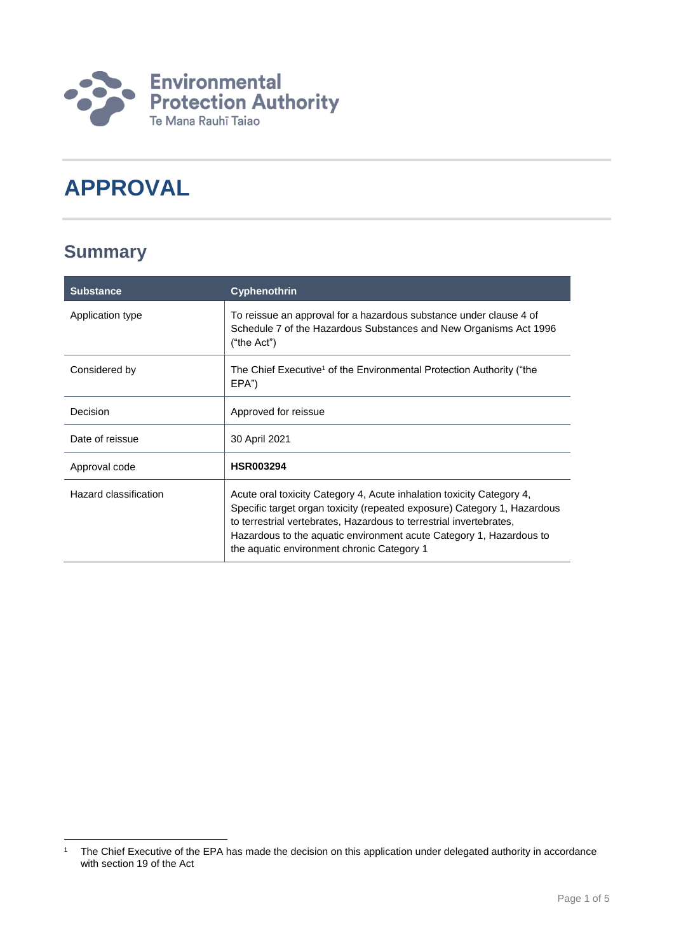

# **APPROVAL**

### **Summary**

1

| <b>Substance</b>      | <b>Cyphenothrin</b>                                                                                                                                                                                                                                                                                                                           |
|-----------------------|-----------------------------------------------------------------------------------------------------------------------------------------------------------------------------------------------------------------------------------------------------------------------------------------------------------------------------------------------|
| Application type      | To reissue an approval for a hazardous substance under clause 4 of<br>Schedule 7 of the Hazardous Substances and New Organisms Act 1996<br>("the Act")                                                                                                                                                                                        |
| Considered by         | The Chief Executive <sup>1</sup> of the Environmental Protection Authority ("the<br>EPA")                                                                                                                                                                                                                                                     |
| Decision              | Approved for reissue                                                                                                                                                                                                                                                                                                                          |
| Date of reissue       | 30 April 2021                                                                                                                                                                                                                                                                                                                                 |
| Approval code         | <b>HSR003294</b>                                                                                                                                                                                                                                                                                                                              |
| Hazard classification | Acute oral toxicity Category 4, Acute inhalation toxicity Category 4,<br>Specific target organ toxicity (repeated exposure) Category 1, Hazardous<br>to terrestrial vertebrates. Hazardous to terrestrial invertebrates,<br>Hazardous to the aquatic environment acute Category 1, Hazardous to<br>the aquatic environment chronic Category 1 |

<sup>&</sup>lt;sup>1</sup> The Chief Executive of the EPA has made the decision on this application under delegated authority in accordance with section 19 of the Act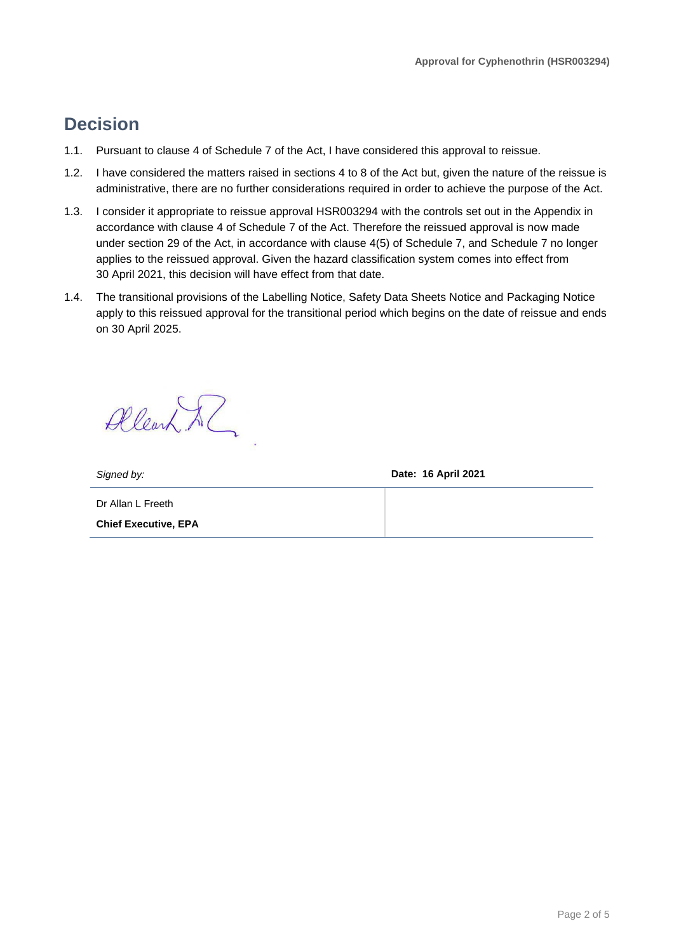### **Decision**

- 1.1. Pursuant to clause 4 of Schedule 7 of the Act, I have considered this approval to reissue.
- 1.2. I have considered the matters raised in sections 4 to 8 of the Act but, given the nature of the reissue is administrative, there are no further considerations required in order to achieve the purpose of the Act.
- 1.3. I consider it appropriate to reissue approval HSR003294 with the controls set out in the Appendix in accordance with clause 4 of Schedule 7 of the Act. Therefore the reissued approval is now made under section 29 of the Act, in accordance with clause 4(5) of Schedule 7, and Schedule 7 no longer applies to the reissued approval. Given the hazard classification system comes into effect from 30 April 2021, this decision will have effect from that date.
- 1.4. The transitional provisions of the Labelling Notice, Safety Data Sheets Notice and Packaging Notice apply to this reissued approval for the transitional period which begins on the date of reissue and ends on 30 April 2025.

Allearn Al

*Signed by:* **Date: 16 April 2021**

Dr Allan L Freeth **Chief Executive, EPA**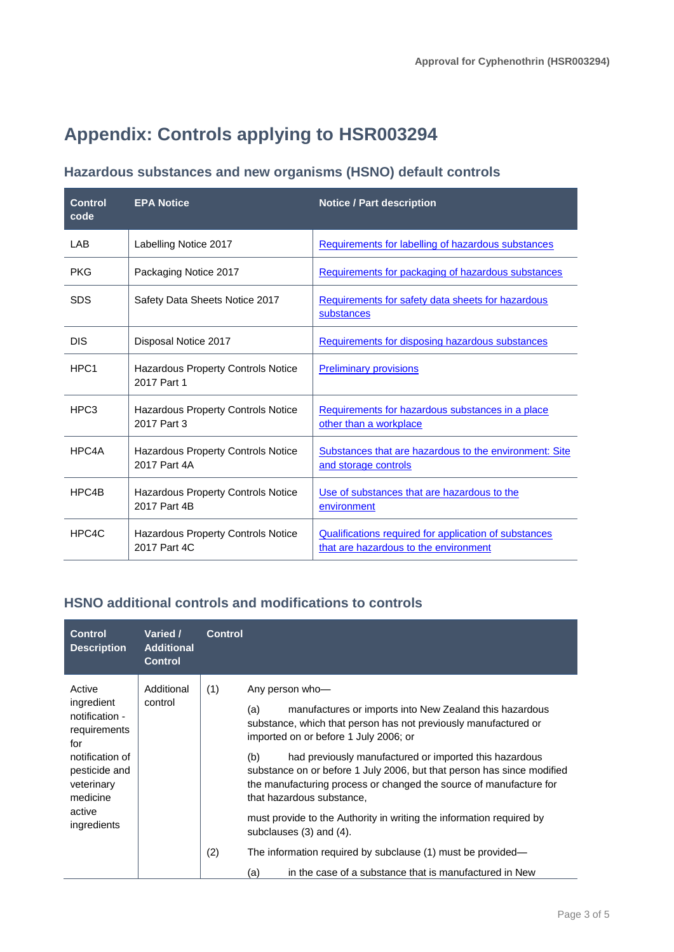## **Appendix: Controls applying to HSR003294**

#### **Hazardous substances and new organisms (HSNO) default controls**

| <b>Control</b><br>code | <b>EPA Notice</b>                                         | <b>Notice / Part description</b>                                                               |
|------------------------|-----------------------------------------------------------|------------------------------------------------------------------------------------------------|
| LAB                    | Labelling Notice 2017                                     | Requirements for labelling of hazardous substances                                             |
| <b>PKG</b>             | Packaging Notice 2017                                     | Requirements for packaging of hazardous substances                                             |
| <b>SDS</b>             | Safety Data Sheets Notice 2017                            | Requirements for safety data sheets for hazardous<br>substances                                |
| <b>DIS</b>             | Disposal Notice 2017                                      | Requirements for disposing hazardous substances                                                |
| HPC <sub>1</sub>       | Hazardous Property Controls Notice<br>2017 Part 1         | <b>Preliminary provisions</b>                                                                  |
| HPC3                   | Hazardous Property Controls Notice<br>2017 Part 3         | Requirements for hazardous substances in a place<br>other than a workplace                     |
| HPC4A                  | <b>Hazardous Property Controls Notice</b><br>2017 Part 4A | Substances that are hazardous to the environment: Site<br>and storage controls                 |
| HPC4B                  | Hazardous Property Controls Notice<br>2017 Part 4B        | Use of substances that are hazardous to the<br>environment                                     |
| HPC4C                  | <b>Hazardous Property Controls Notice</b><br>2017 Part 4C | Qualifications required for application of substances<br>that are hazardous to the environment |

### **HSNO additional controls and modifications to controls**

| <b>Control</b><br><b>Description</b>                                                                                                                 | Varied /<br><b>Additional</b><br><b>Control</b> | <b>Control</b> |                                                                                                                                                                                                                                                                                                                                                                                                                                                                                                                                                                                                                                                                                     |
|------------------------------------------------------------------------------------------------------------------------------------------------------|-------------------------------------------------|----------------|-------------------------------------------------------------------------------------------------------------------------------------------------------------------------------------------------------------------------------------------------------------------------------------------------------------------------------------------------------------------------------------------------------------------------------------------------------------------------------------------------------------------------------------------------------------------------------------------------------------------------------------------------------------------------------------|
| Active<br>ingredient<br>notification -<br>requirements<br>for<br>notification of<br>pesticide and<br>veterinary<br>medicine<br>active<br>ingredients | Additional<br>control                           | (1)<br>(2)     | Any person who-<br>manufactures or imports into New Zealand this hazardous<br>(a)<br>substance, which that person has not previously manufactured or<br>imported on or before 1 July 2006; or<br>had previously manufactured or imported this hazardous<br>(b)<br>substance on or before 1 July 2006, but that person has since modified<br>the manufacturing process or changed the source of manufacture for<br>that hazardous substance,<br>must provide to the Authority in writing the information required by<br>subclauses $(3)$ and $(4)$ .<br>The information required by subclause (1) must be provided—<br>in the case of a substance that is manufactured in New<br>(a) |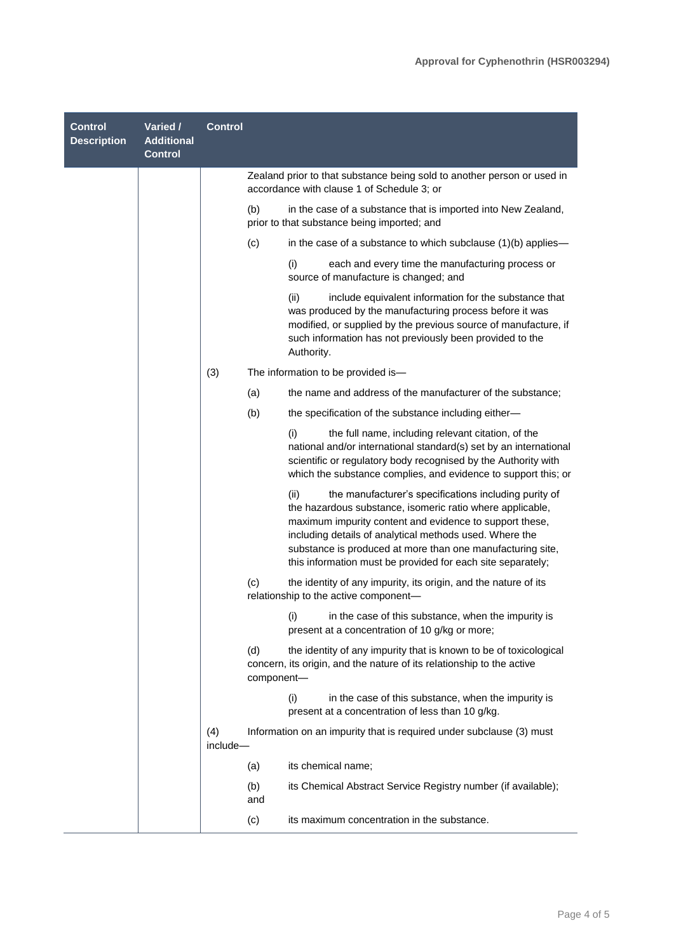| <b>Control</b><br><b>Description</b> | Varied /<br><b>Additional</b><br><b>Control</b> | <b>Control</b>  |                   |                                                                                                                                                                                                                                                                                                                                                                               |
|--------------------------------------|-------------------------------------------------|-----------------|-------------------|-------------------------------------------------------------------------------------------------------------------------------------------------------------------------------------------------------------------------------------------------------------------------------------------------------------------------------------------------------------------------------|
|                                      |                                                 |                 |                   | Zealand prior to that substance being sold to another person or used in<br>accordance with clause 1 of Schedule 3; or                                                                                                                                                                                                                                                         |
|                                      |                                                 |                 | (b)               | in the case of a substance that is imported into New Zealand,<br>prior to that substance being imported; and                                                                                                                                                                                                                                                                  |
|                                      |                                                 |                 | (c)               | in the case of a substance to which subclause $(1)(b)$ applies—                                                                                                                                                                                                                                                                                                               |
|                                      |                                                 |                 |                   | (i)<br>each and every time the manufacturing process or<br>source of manufacture is changed; and                                                                                                                                                                                                                                                                              |
|                                      |                                                 |                 |                   | (ii)<br>include equivalent information for the substance that<br>was produced by the manufacturing process before it was<br>modified, or supplied by the previous source of manufacture, if<br>such information has not previously been provided to the<br>Authority.                                                                                                         |
|                                      |                                                 | (3)             |                   | The information to be provided is-                                                                                                                                                                                                                                                                                                                                            |
|                                      |                                                 |                 | (a)               | the name and address of the manufacturer of the substance;                                                                                                                                                                                                                                                                                                                    |
|                                      |                                                 |                 | (b)               | the specification of the substance including either-                                                                                                                                                                                                                                                                                                                          |
|                                      |                                                 |                 |                   | the full name, including relevant citation, of the<br>(i)<br>national and/or international standard(s) set by an international<br>scientific or regulatory body recognised by the Authority with<br>which the substance complies, and evidence to support this; or                                                                                                            |
|                                      |                                                 |                 |                   | the manufacturer's specifications including purity of<br>(ii)<br>the hazardous substance, isomeric ratio where applicable,<br>maximum impurity content and evidence to support these,<br>including details of analytical methods used. Where the<br>substance is produced at more than one manufacturing site,<br>this information must be provided for each site separately; |
|                                      |                                                 |                 | (c)               | the identity of any impurity, its origin, and the nature of its<br>relationship to the active component-                                                                                                                                                                                                                                                                      |
|                                      |                                                 |                 |                   | in the case of this substance, when the impurity is<br>(i)<br>present at a concentration of 10 g/kg or more;                                                                                                                                                                                                                                                                  |
|                                      |                                                 |                 | (d)<br>component- | the identity of any impurity that is known to be of toxicological<br>concern, its origin, and the nature of its relationship to the active                                                                                                                                                                                                                                    |
|                                      |                                                 |                 |                   | in the case of this substance, when the impurity is<br>(i)<br>present at a concentration of less than 10 g/kg.                                                                                                                                                                                                                                                                |
|                                      |                                                 | (4)<br>include- |                   | Information on an impurity that is required under subclause (3) must                                                                                                                                                                                                                                                                                                          |
|                                      |                                                 |                 | (a)               | its chemical name;                                                                                                                                                                                                                                                                                                                                                            |
|                                      |                                                 |                 | (b)<br>and        | its Chemical Abstract Service Registry number (if available);                                                                                                                                                                                                                                                                                                                 |
|                                      |                                                 |                 | (c)               | its maximum concentration in the substance.                                                                                                                                                                                                                                                                                                                                   |